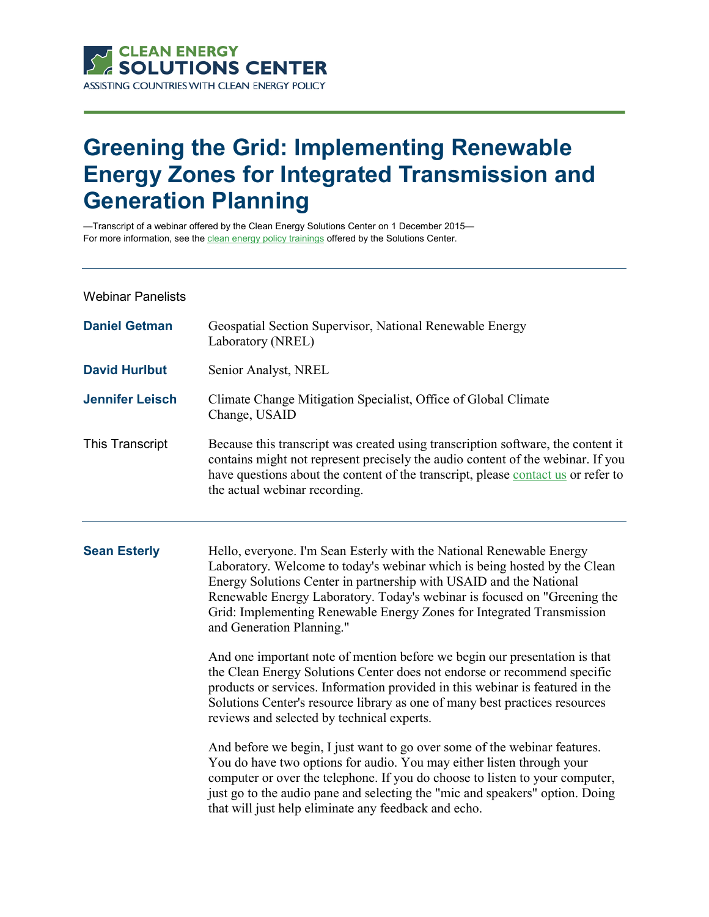

## **Greening the Grid: Implementing Renewable Energy Zones for Integrated Transmission and Generation Planning**

—Transcript of a webinar offered by the Clean Energy Solutions Center on 1 December 2015— For more information, see th[e clean energy policy trainings](https://cleanenergysolutions.org/training) offered by the Solutions Center.

Webinar Panelists

| <b>Daniel Getman</b>   | Geospatial Section Supervisor, National Renewable Energy<br>Laboratory (NREL)                                                                                                                                                                                                             |
|------------------------|-------------------------------------------------------------------------------------------------------------------------------------------------------------------------------------------------------------------------------------------------------------------------------------------|
| <b>David Hurlbut</b>   | Senior Analyst, NREL                                                                                                                                                                                                                                                                      |
| <b>Jennifer Leisch</b> | Climate Change Mitigation Specialist, Office of Global Climate<br>Change, USAID                                                                                                                                                                                                           |
| This Transcript        | Because this transcript was created using transcription software, the content it<br>contains might not represent precisely the audio content of the webinar. If you<br>have questions about the content of the transcript, please contact us or refer to<br>the actual webinar recording. |

**Sean Esterly** Hello, everyone. I'm Sean Esterly with the National Renewable Energy Laboratory. Welcome to today's webinar which is being hosted by the Clean Energy Solutions Center in partnership with USAID and the National Renewable Energy Laboratory. Today's webinar is focused on "Greening the Grid: Implementing Renewable Energy Zones for Integrated Transmission and Generation Planning."

> And one important note of mention before we begin our presentation is that the Clean Energy Solutions Center does not endorse or recommend specific products or services. Information provided in this webinar is featured in the Solutions Center's resource library as one of many best practices resources reviews and selected by technical experts.

> And before we begin, I just want to go over some of the webinar features. You do have two options for audio. You may either listen through your computer or over the telephone. If you do choose to listen to your computer, just go to the audio pane and selecting the "mic and speakers" option. Doing that will just help eliminate any feedback and echo.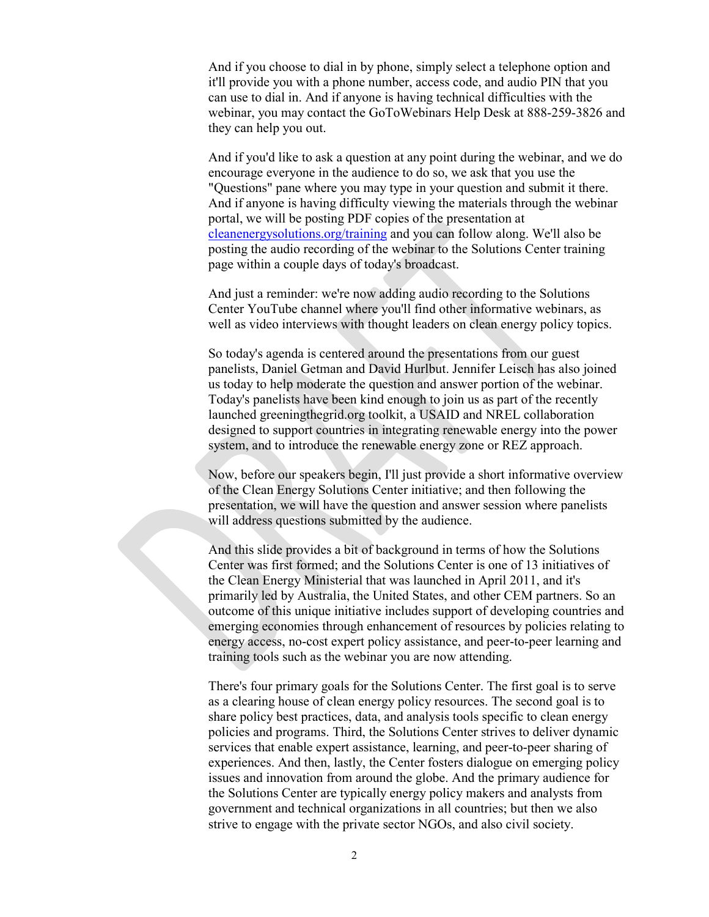And if you choose to dial in by phone, simply select a telephone option and it'll provide you with a phone number, access code, and audio PIN that you can use to dial in. And if anyone is having technical difficulties with the webinar, you may contact the GoToWebinars Help Desk at 888-259-3826 and they can help you out.

And if you'd like to ask a question at any point during the webinar, and we do encourage everyone in the audience to do so, we ask that you use the "Questions" pane where you may type in your question and submit it there. And if anyone is having difficulty viewing the materials through the webinar portal, we will be posting PDF copies of the presentation at [cleanenergysolutions.org/training](https://cleanenergysolutions.org/training) and you can follow along. We'll also be posting the audio recording of the webinar to the Solutions Center training page within a couple days of today's broadcast.

And just a reminder: we're now adding audio recording to the Solutions Center YouTube channel where you'll find other informative webinars, as well as video interviews with thought leaders on clean energy policy topics.

So today's agenda is centered around the presentations from our guest panelists, Daniel Getman and David Hurlbut. Jennifer Leisch has also joined us today to help moderate the question and answer portion of the webinar. Today's panelists have been kind enough to join us as part of the recently launched greeningthegrid.org toolkit, a USAID and NREL collaboration designed to support countries in integrating renewable energy into the power system, and to introduce the renewable energy zone or REZ approach.

Now, before our speakers begin, I'll just provide a short informative overview of the Clean Energy Solutions Center initiative; and then following the presentation, we will have the question and answer session where panelists will address questions submitted by the audience.

And this slide provides a bit of background in terms of how the Solutions Center was first formed; and the Solutions Center is one of 13 initiatives of the Clean Energy Ministerial that was launched in April 2011, and it's primarily led by Australia, the United States, and other CEM partners. So an outcome of this unique initiative includes support of developing countries and emerging economies through enhancement of resources by policies relating to energy access, no-cost expert policy assistance, and peer-to-peer learning and training tools such as the webinar you are now attending.

There's four primary goals for the Solutions Center. The first goal is to serve as a clearing house of clean energy policy resources. The second goal is to share policy best practices, data, and analysis tools specific to clean energy policies and programs. Third, the Solutions Center strives to deliver dynamic services that enable expert assistance, learning, and peer-to-peer sharing of experiences. And then, lastly, the Center fosters dialogue on emerging policy issues and innovation from around the globe. And the primary audience for the Solutions Center are typically energy policy makers and analysts from government and technical organizations in all countries; but then we also strive to engage with the private sector NGOs, and also civil society.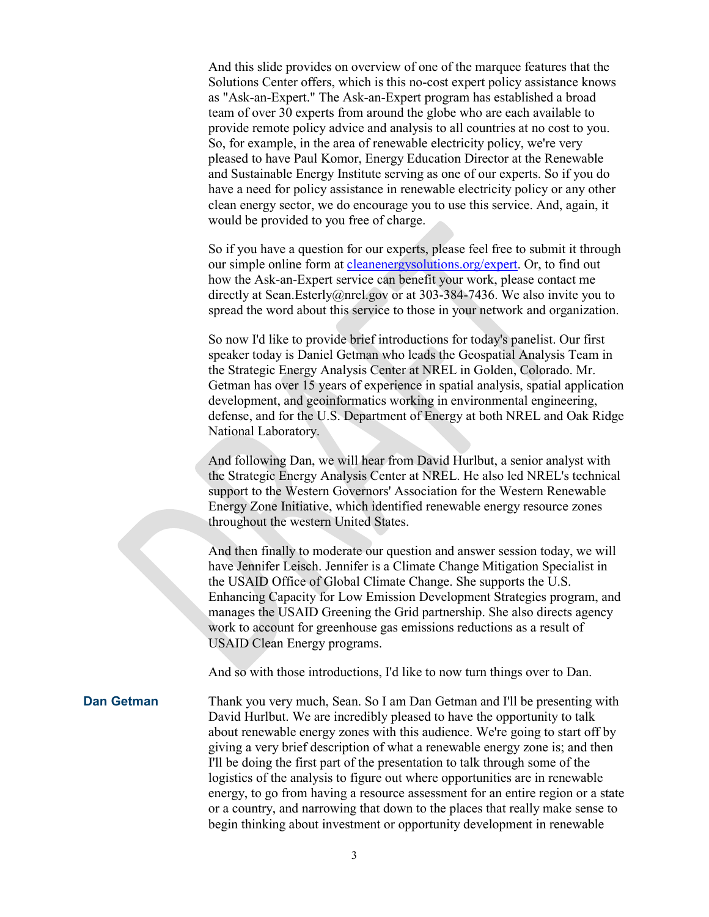And this slide provides on overview of one of the marquee features that the Solutions Center offers, which is this no-cost expert policy assistance knows as "Ask-an-Expert." The Ask-an-Expert program has established a broad team of over 30 experts from around the globe who are each available to provide remote policy advice and analysis to all countries at no cost to you. So, for example, in the area of renewable electricity policy, we're very pleased to have Paul Komor, Energy Education Director at the Renewable and Sustainable Energy Institute serving as one of our experts. So if you do have a need for policy assistance in renewable electricity policy or any other clean energy sector, we do encourage you to use this service. And, again, it would be provided to you free of charge.

So if you have a question for our experts, please feel free to submit it through our simple online form at [cleanenergysolutions.org/expert.](https://cleanenergysolutions.org/expert) Or, to find out how the Ask-an-Expert service can benefit your work, please contact me directly at Sean. Esterly@nrel.gov or at 303-384-7436. We also invite you to spread the word about this service to those in your network and organization.

So now I'd like to provide brief introductions for today's panelist. Our first speaker today is Daniel Getman who leads the Geospatial Analysis Team in the Strategic Energy Analysis Center at NREL in Golden, Colorado. Mr. Getman has over 15 years of experience in spatial analysis, spatial application development, and geoinformatics working in environmental engineering, defense, and for the U.S. Department of Energy at both NREL and Oak Ridge National Laboratory.

And following Dan, we will hear from David Hurlbut, a senior analyst with the Strategic Energy Analysis Center at NREL. He also led NREL's technical support to the Western Governors' Association for the Western Renewable Energy Zone Initiative, which identified renewable energy resource zones throughout the western United States.

And then finally to moderate our question and answer session today, we will have Jennifer Leisch. Jennifer is a Climate Change Mitigation Specialist in the USAID Office of Global Climate Change. She supports the U.S. Enhancing Capacity for Low Emission Development Strategies program, and manages the USAID Greening the Grid partnership. She also directs agency work to account for greenhouse gas emissions reductions as a result of USAID Clean Energy programs.

And so with those introductions, I'd like to now turn things over to Dan.

**Dan Getman** Thank you very much, Sean. So I am Dan Getman and I'll be presenting with David Hurlbut. We are incredibly pleased to have the opportunity to talk about renewable energy zones with this audience. We're going to start off by giving a very brief description of what a renewable energy zone is; and then I'll be doing the first part of the presentation to talk through some of the logistics of the analysis to figure out where opportunities are in renewable energy, to go from having a resource assessment for an entire region or a state or a country, and narrowing that down to the places that really make sense to begin thinking about investment or opportunity development in renewable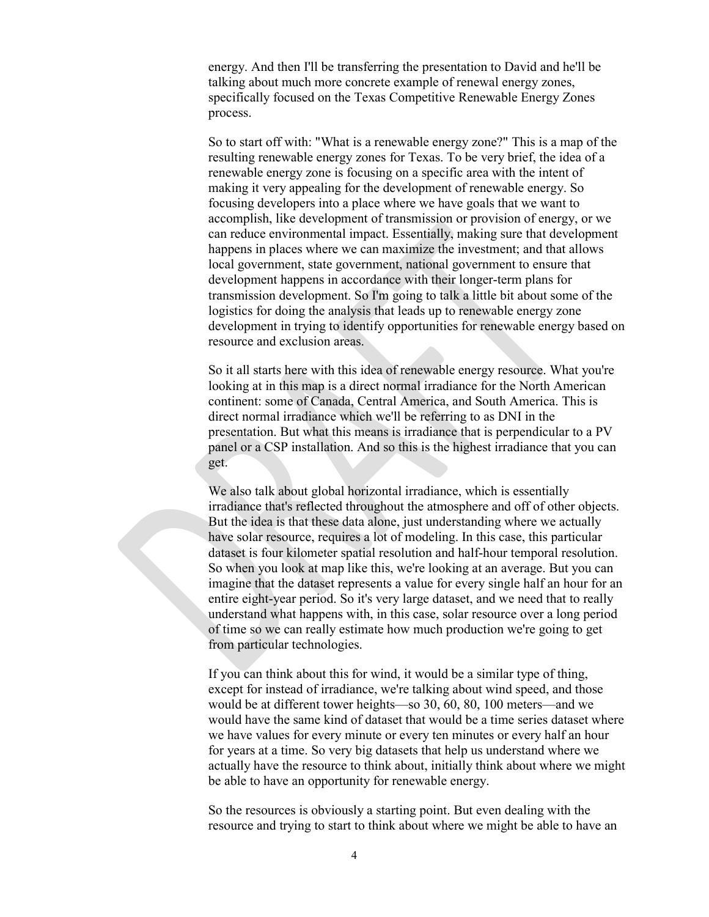energy. And then I'll be transferring the presentation to David and he'll be talking about much more concrete example of renewal energy zones, specifically focused on the Texas Competitive Renewable Energy Zones process.

So to start off with: "What is a renewable energy zone?" This is a map of the resulting renewable energy zones for Texas. To be very brief, the idea of a renewable energy zone is focusing on a specific area with the intent of making it very appealing for the development of renewable energy. So focusing developers into a place where we have goals that we want to accomplish, like development of transmission or provision of energy, or we can reduce environmental impact. Essentially, making sure that development happens in places where we can maximize the investment; and that allows local government, state government, national government to ensure that development happens in accordance with their longer-term plans for transmission development. So I'm going to talk a little bit about some of the logistics for doing the analysis that leads up to renewable energy zone development in trying to identify opportunities for renewable energy based on resource and exclusion areas.

So it all starts here with this idea of renewable energy resource. What you're looking at in this map is a direct normal irradiance for the North American continent: some of Canada, Central America, and South America. This is direct normal irradiance which we'll be referring to as DNI in the presentation. But what this means is irradiance that is perpendicular to a PV panel or a CSP installation. And so this is the highest irradiance that you can get.

We also talk about global horizontal irradiance, which is essentially irradiance that's reflected throughout the atmosphere and off of other objects. But the idea is that these data alone, just understanding where we actually have solar resource, requires a lot of modeling. In this case, this particular dataset is four kilometer spatial resolution and half-hour temporal resolution. So when you look at map like this, we're looking at an average. But you can imagine that the dataset represents a value for every single half an hour for an entire eight-year period. So it's very large dataset, and we need that to really understand what happens with, in this case, solar resource over a long period of time so we can really estimate how much production we're going to get from particular technologies.

If you can think about this for wind, it would be a similar type of thing, except for instead of irradiance, we're talking about wind speed, and those would be at different tower heights—so 30, 60, 80, 100 meters—and we would have the same kind of dataset that would be a time series dataset where we have values for every minute or every ten minutes or every half an hour for years at a time. So very big datasets that help us understand where we actually have the resource to think about, initially think about where we might be able to have an opportunity for renewable energy.

So the resources is obviously a starting point. But even dealing with the resource and trying to start to think about where we might be able to have an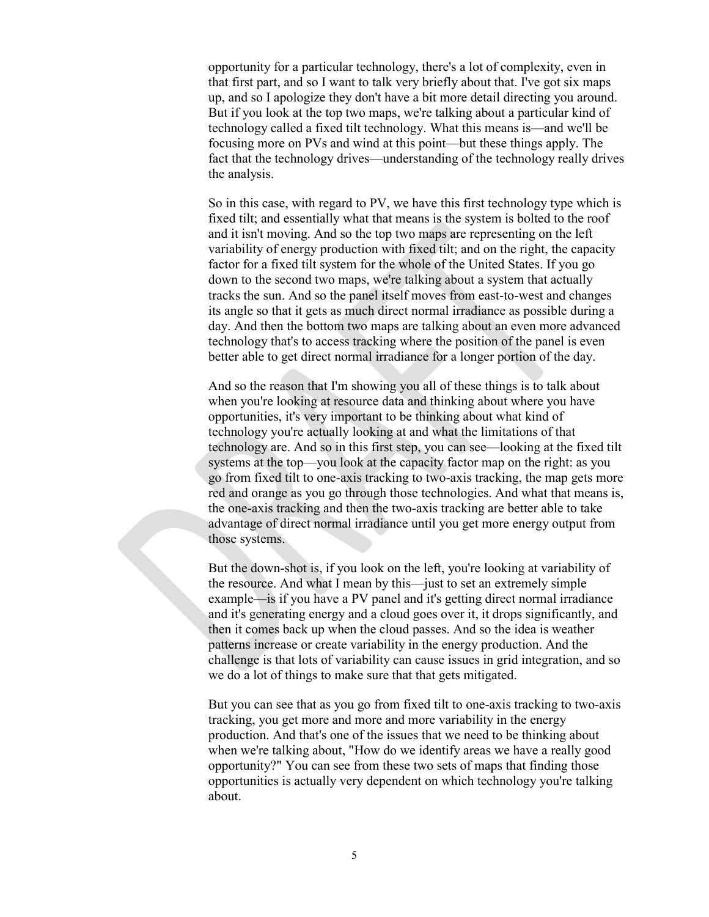opportunity for a particular technology, there's a lot of complexity, even in that first part, and so I want to talk very briefly about that. I've got six maps up, and so I apologize they don't have a bit more detail directing you around. But if you look at the top two maps, we're talking about a particular kind of technology called a fixed tilt technology. What this means is—and we'll be focusing more on PVs and wind at this point—but these things apply. The fact that the technology drives—understanding of the technology really drives the analysis.

So in this case, with regard to PV, we have this first technology type which is fixed tilt; and essentially what that means is the system is bolted to the roof and it isn't moving. And so the top two maps are representing on the left variability of energy production with fixed tilt; and on the right, the capacity factor for a fixed tilt system for the whole of the United States. If you go down to the second two maps, we're talking about a system that actually tracks the sun. And so the panel itself moves from east-to-west and changes its angle so that it gets as much direct normal irradiance as possible during a day. And then the bottom two maps are talking about an even more advanced technology that's to access tracking where the position of the panel is even better able to get direct normal irradiance for a longer portion of the day.

And so the reason that I'm showing you all of these things is to talk about when you're looking at resource data and thinking about where you have opportunities, it's very important to be thinking about what kind of technology you're actually looking at and what the limitations of that technology are. And so in this first step, you can see—looking at the fixed tilt systems at the top—you look at the capacity factor map on the right: as you go from fixed tilt to one-axis tracking to two-axis tracking, the map gets more red and orange as you go through those technologies. And what that means is, the one-axis tracking and then the two-axis tracking are better able to take advantage of direct normal irradiance until you get more energy output from those systems.

But the down-shot is, if you look on the left, you're looking at variability of the resource. And what I mean by this—just to set an extremely simple example—is if you have a PV panel and it's getting direct normal irradiance and it's generating energy and a cloud goes over it, it drops significantly, and then it comes back up when the cloud passes. And so the idea is weather patterns increase or create variability in the energy production. And the challenge is that lots of variability can cause issues in grid integration, and so we do a lot of things to make sure that that gets mitigated.

But you can see that as you go from fixed tilt to one-axis tracking to two-axis tracking, you get more and more and more variability in the energy production. And that's one of the issues that we need to be thinking about when we're talking about, "How do we identify areas we have a really good opportunity?" You can see from these two sets of maps that finding those opportunities is actually very dependent on which technology you're talking about.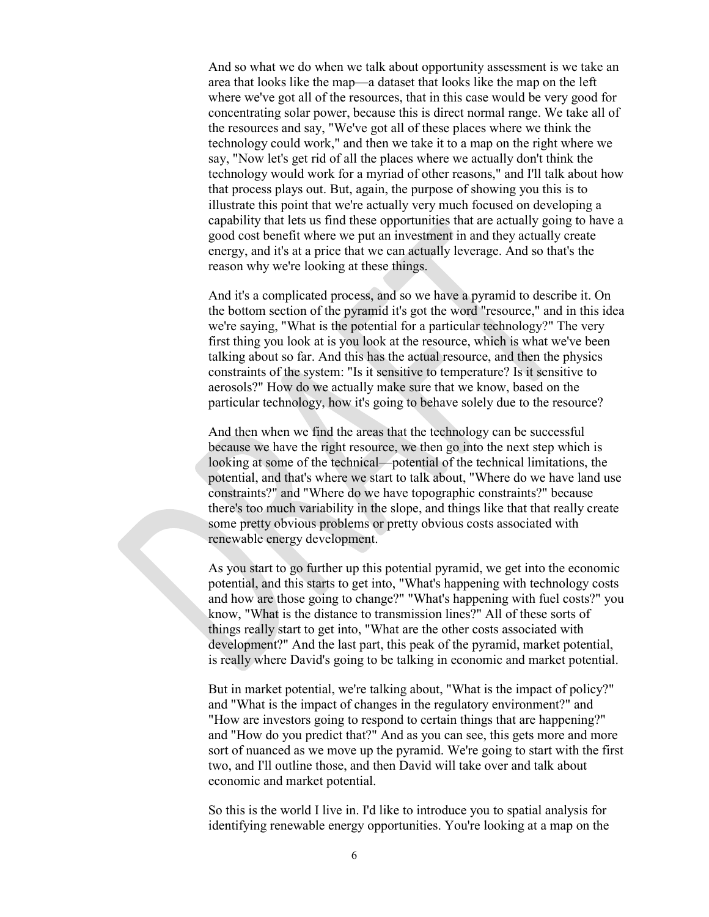And so what we do when we talk about opportunity assessment is we take an area that looks like the map—a dataset that looks like the map on the left where we've got all of the resources, that in this case would be very good for concentrating solar power, because this is direct normal range. We take all of the resources and say, "We've got all of these places where we think the technology could work," and then we take it to a map on the right where we say, "Now let's get rid of all the places where we actually don't think the technology would work for a myriad of other reasons," and I'll talk about how that process plays out. But, again, the purpose of showing you this is to illustrate this point that we're actually very much focused on developing a capability that lets us find these opportunities that are actually going to have a good cost benefit where we put an investment in and they actually create energy, and it's at a price that we can actually leverage. And so that's the reason why we're looking at these things.

And it's a complicated process, and so we have a pyramid to describe it. On the bottom section of the pyramid it's got the word "resource," and in this idea we're saying, "What is the potential for a particular technology?" The very first thing you look at is you look at the resource, which is what we've been talking about so far. And this has the actual resource, and then the physics constraints of the system: "Is it sensitive to temperature? Is it sensitive to aerosols?" How do we actually make sure that we know, based on the particular technology, how it's going to behave solely due to the resource?

And then when we find the areas that the technology can be successful because we have the right resource, we then go into the next step which is looking at some of the technical—potential of the technical limitations, the potential, and that's where we start to talk about, "Where do we have land use constraints?" and "Where do we have topographic constraints?" because there's too much variability in the slope, and things like that that really create some pretty obvious problems or pretty obvious costs associated with renewable energy development.

As you start to go further up this potential pyramid, we get into the economic potential, and this starts to get into, "What's happening with technology costs and how are those going to change?" "What's happening with fuel costs?" you know, "What is the distance to transmission lines?" All of these sorts of things really start to get into, "What are the other costs associated with development?" And the last part, this peak of the pyramid, market potential, is really where David's going to be talking in economic and market potential.

But in market potential, we're talking about, "What is the impact of policy?" and "What is the impact of changes in the regulatory environment?" and "How are investors going to respond to certain things that are happening?" and "How do you predict that?" And as you can see, this gets more and more sort of nuanced as we move up the pyramid. We're going to start with the first two, and I'll outline those, and then David will take over and talk about economic and market potential.

So this is the world I live in. I'd like to introduce you to spatial analysis for identifying renewable energy opportunities. You're looking at a map on the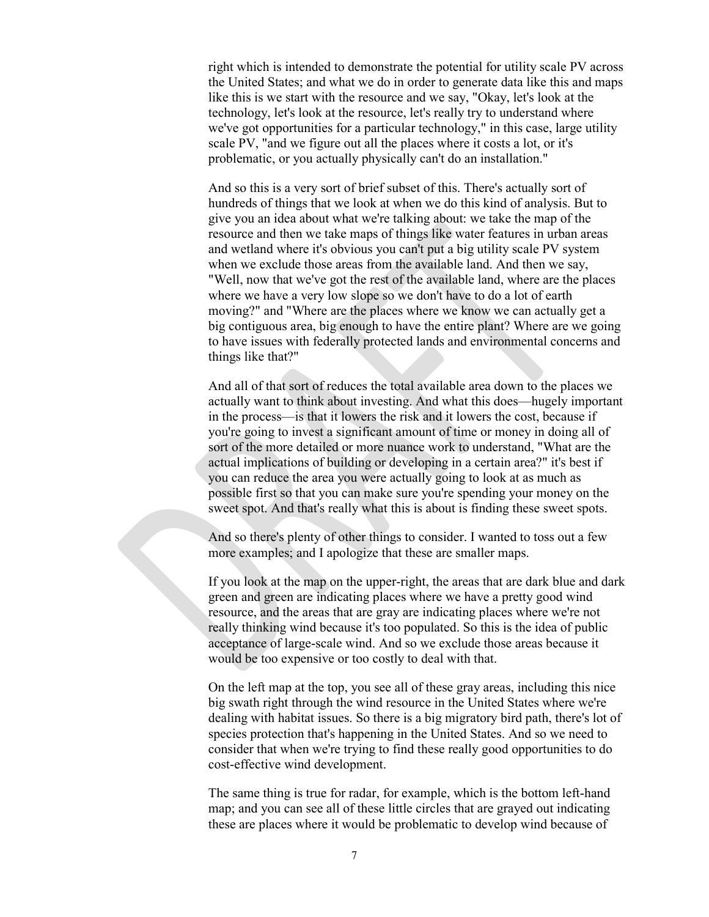right which is intended to demonstrate the potential for utility scale PV across the United States; and what we do in order to generate data like this and maps like this is we start with the resource and we say, "Okay, let's look at the technology, let's look at the resource, let's really try to understand where we've got opportunities for a particular technology," in this case, large utility scale PV, "and we figure out all the places where it costs a lot, or it's problematic, or you actually physically can't do an installation."

And so this is a very sort of brief subset of this. There's actually sort of hundreds of things that we look at when we do this kind of analysis. But to give you an idea about what we're talking about: we take the map of the resource and then we take maps of things like water features in urban areas and wetland where it's obvious you can't put a big utility scale PV system when we exclude those areas from the available land. And then we say, "Well, now that we've got the rest of the available land, where are the places where we have a very low slope so we don't have to do a lot of earth moving?" and "Where are the places where we know we can actually get a big contiguous area, big enough to have the entire plant? Where are we going to have issues with federally protected lands and environmental concerns and things like that?"

And all of that sort of reduces the total available area down to the places we actually want to think about investing. And what this does—hugely important in the process—is that it lowers the risk and it lowers the cost, because if you're going to invest a significant amount of time or money in doing all of sort of the more detailed or more nuance work to understand, "What are the actual implications of building or developing in a certain area?" it's best if you can reduce the area you were actually going to look at as much as possible first so that you can make sure you're spending your money on the sweet spot. And that's really what this is about is finding these sweet spots.

And so there's plenty of other things to consider. I wanted to toss out a few more examples; and I apologize that these are smaller maps.

If you look at the map on the upper-right, the areas that are dark blue and dark green and green are indicating places where we have a pretty good wind resource, and the areas that are gray are indicating places where we're not really thinking wind because it's too populated. So this is the idea of public acceptance of large-scale wind. And so we exclude those areas because it would be too expensive or too costly to deal with that.

On the left map at the top, you see all of these gray areas, including this nice big swath right through the wind resource in the United States where we're dealing with habitat issues. So there is a big migratory bird path, there's lot of species protection that's happening in the United States. And so we need to consider that when we're trying to find these really good opportunities to do cost-effective wind development.

The same thing is true for radar, for example, which is the bottom left-hand map; and you can see all of these little circles that are grayed out indicating these are places where it would be problematic to develop wind because of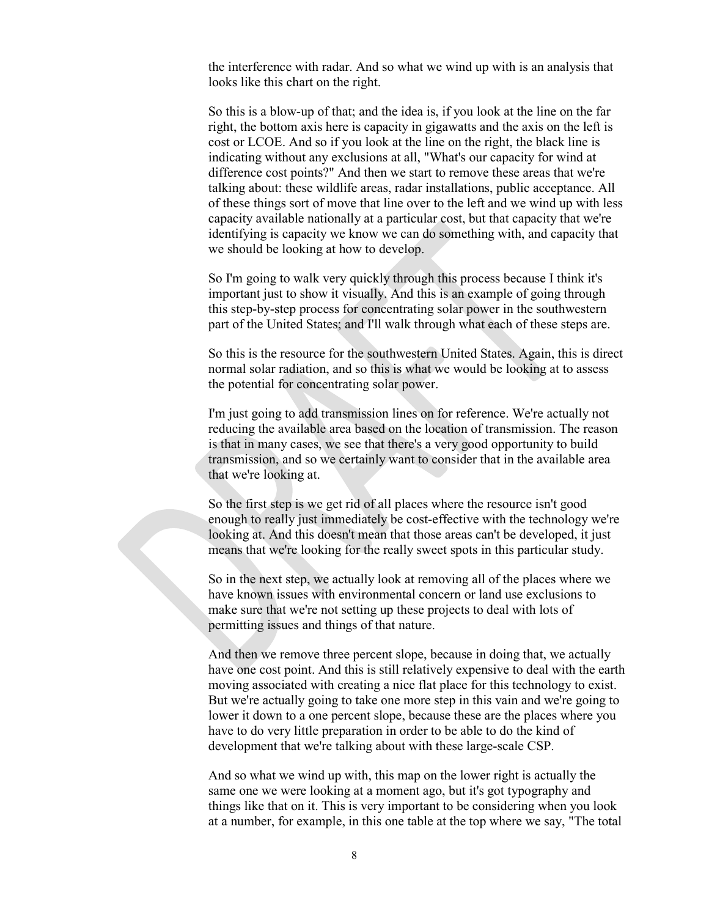the interference with radar. And so what we wind up with is an analysis that looks like this chart on the right.

So this is a blow-up of that; and the idea is, if you look at the line on the far right, the bottom axis here is capacity in gigawatts and the axis on the left is cost or LCOE. And so if you look at the line on the right, the black line is indicating without any exclusions at all, "What's our capacity for wind at difference cost points?" And then we start to remove these areas that we're talking about: these wildlife areas, radar installations, public acceptance. All of these things sort of move that line over to the left and we wind up with less capacity available nationally at a particular cost, but that capacity that we're identifying is capacity we know we can do something with, and capacity that we should be looking at how to develop.

So I'm going to walk very quickly through this process because I think it's important just to show it visually. And this is an example of going through this step-by-step process for concentrating solar power in the southwestern part of the United States; and I'll walk through what each of these steps are.

So this is the resource for the southwestern United States. Again, this is direct normal solar radiation, and so this is what we would be looking at to assess the potential for concentrating solar power.

I'm just going to add transmission lines on for reference. We're actually not reducing the available area based on the location of transmission. The reason is that in many cases, we see that there's a very good opportunity to build transmission, and so we certainly want to consider that in the available area that we're looking at.

So the first step is we get rid of all places where the resource isn't good enough to really just immediately be cost-effective with the technology we're looking at. And this doesn't mean that those areas can't be developed, it just means that we're looking for the really sweet spots in this particular study.

So in the next step, we actually look at removing all of the places where we have known issues with environmental concern or land use exclusions to make sure that we're not setting up these projects to deal with lots of permitting issues and things of that nature.

And then we remove three percent slope, because in doing that, we actually have one cost point. And this is still relatively expensive to deal with the earth moving associated with creating a nice flat place for this technology to exist. But we're actually going to take one more step in this vain and we're going to lower it down to a one percent slope, because these are the places where you have to do very little preparation in order to be able to do the kind of development that we're talking about with these large-scale CSP.

And so what we wind up with, this map on the lower right is actually the same one we were looking at a moment ago, but it's got typography and things like that on it. This is very important to be considering when you look at a number, for example, in this one table at the top where we say, "The total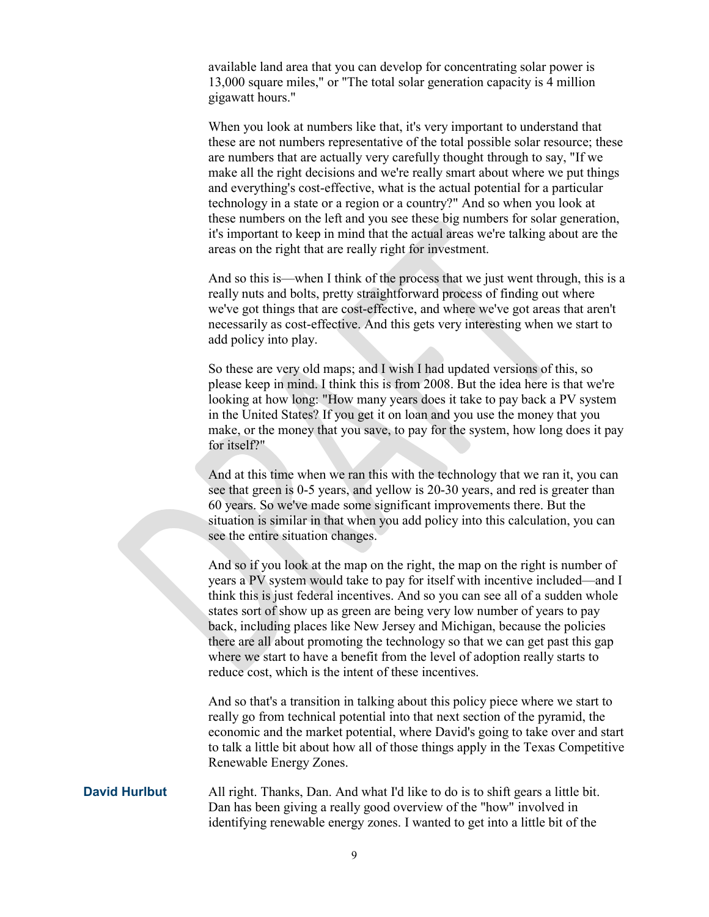available land area that you can develop for concentrating solar power is 13,000 square miles," or "The total solar generation capacity is 4 million gigawatt hours."

When you look at numbers like that, it's very important to understand that these are not numbers representative of the total possible solar resource; these are numbers that are actually very carefully thought through to say, "If we make all the right decisions and we're really smart about where we put things and everything's cost-effective, what is the actual potential for a particular technology in a state or a region or a country?" And so when you look at these numbers on the left and you see these big numbers for solar generation, it's important to keep in mind that the actual areas we're talking about are the areas on the right that are really right for investment.

And so this is—when I think of the process that we just went through, this is a really nuts and bolts, pretty straightforward process of finding out where we've got things that are cost-effective, and where we've got areas that aren't necessarily as cost-effective. And this gets very interesting when we start to add policy into play.

So these are very old maps; and I wish I had updated versions of this, so please keep in mind. I think this is from 2008. But the idea here is that we're looking at how long: "How many years does it take to pay back a PV system in the United States? If you get it on loan and you use the money that you make, or the money that you save, to pay for the system, how long does it pay for itself?"

And at this time when we ran this with the technology that we ran it, you can see that green is 0-5 years, and yellow is 20-30 years, and red is greater than 60 years. So we've made some significant improvements there. But the situation is similar in that when you add policy into this calculation, you can see the entire situation changes.

And so if you look at the map on the right, the map on the right is number of years a PV system would take to pay for itself with incentive included—and I think this is just federal incentives. And so you can see all of a sudden whole states sort of show up as green are being very low number of years to pay back, including places like New Jersey and Michigan, because the policies there are all about promoting the technology so that we can get past this gap where we start to have a benefit from the level of adoption really starts to reduce cost, which is the intent of these incentives.

And so that's a transition in talking about this policy piece where we start to really go from technical potential into that next section of the pyramid, the economic and the market potential, where David's going to take over and start to talk a little bit about how all of those things apply in the Texas Competitive Renewable Energy Zones.

**David Hurlbut** All right. Thanks, Dan. And what I'd like to do is to shift gears a little bit. Dan has been giving a really good overview of the "how" involved in identifying renewable energy zones. I wanted to get into a little bit of the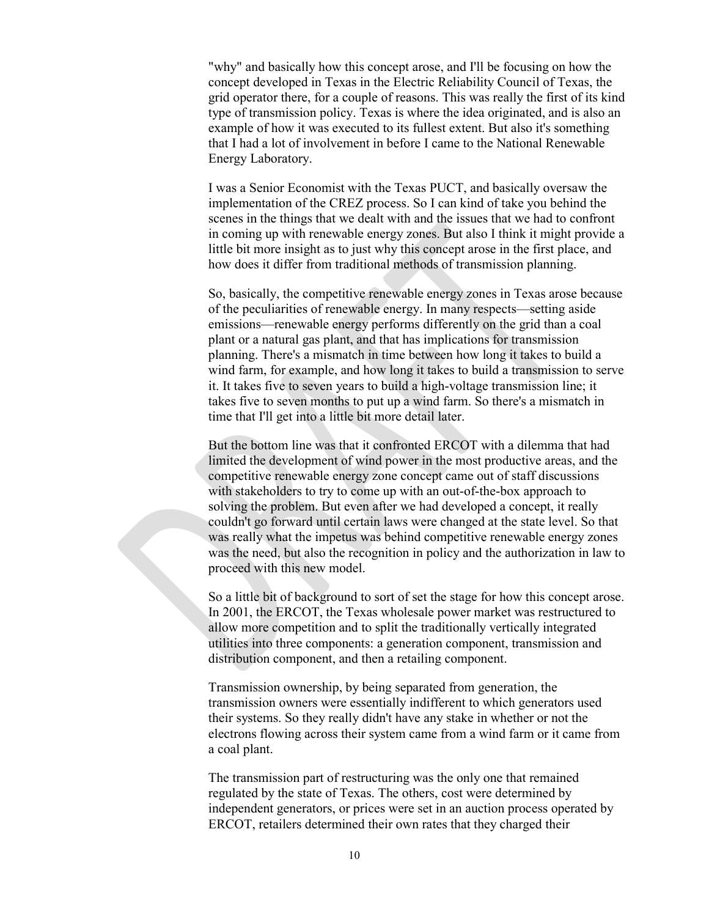"why" and basically how this concept arose, and I'll be focusing on how the concept developed in Texas in the Electric Reliability Council of Texas, the grid operator there, for a couple of reasons. This was really the first of its kind type of transmission policy. Texas is where the idea originated, and is also an example of how it was executed to its fullest extent. But also it's something that I had a lot of involvement in before I came to the National Renewable Energy Laboratory.

I was a Senior Economist with the Texas PUCT, and basically oversaw the implementation of the CREZ process. So I can kind of take you behind the scenes in the things that we dealt with and the issues that we had to confront in coming up with renewable energy zones. But also I think it might provide a little bit more insight as to just why this concept arose in the first place, and how does it differ from traditional methods of transmission planning.

So, basically, the competitive renewable energy zones in Texas arose because of the peculiarities of renewable energy. In many respects—setting aside emissions—renewable energy performs differently on the grid than a coal plant or a natural gas plant, and that has implications for transmission planning. There's a mismatch in time between how long it takes to build a wind farm, for example, and how long it takes to build a transmission to serve it. It takes five to seven years to build a high-voltage transmission line; it takes five to seven months to put up a wind farm. So there's a mismatch in time that I'll get into a little bit more detail later.

But the bottom line was that it confronted ERCOT with a dilemma that had limited the development of wind power in the most productive areas, and the competitive renewable energy zone concept came out of staff discussions with stakeholders to try to come up with an out-of-the-box approach to solving the problem. But even after we had developed a concept, it really couldn't go forward until certain laws were changed at the state level. So that was really what the impetus was behind competitive renewable energy zones was the need, but also the recognition in policy and the authorization in law to proceed with this new model.

So a little bit of background to sort of set the stage for how this concept arose. In 2001, the ERCOT, the Texas wholesale power market was restructured to allow more competition and to split the traditionally vertically integrated utilities into three components: a generation component, transmission and distribution component, and then a retailing component.

Transmission ownership, by being separated from generation, the transmission owners were essentially indifferent to which generators used their systems. So they really didn't have any stake in whether or not the electrons flowing across their system came from a wind farm or it came from a coal plant.

The transmission part of restructuring was the only one that remained regulated by the state of Texas. The others, cost were determined by independent generators, or prices were set in an auction process operated by ERCOT, retailers determined their own rates that they charged their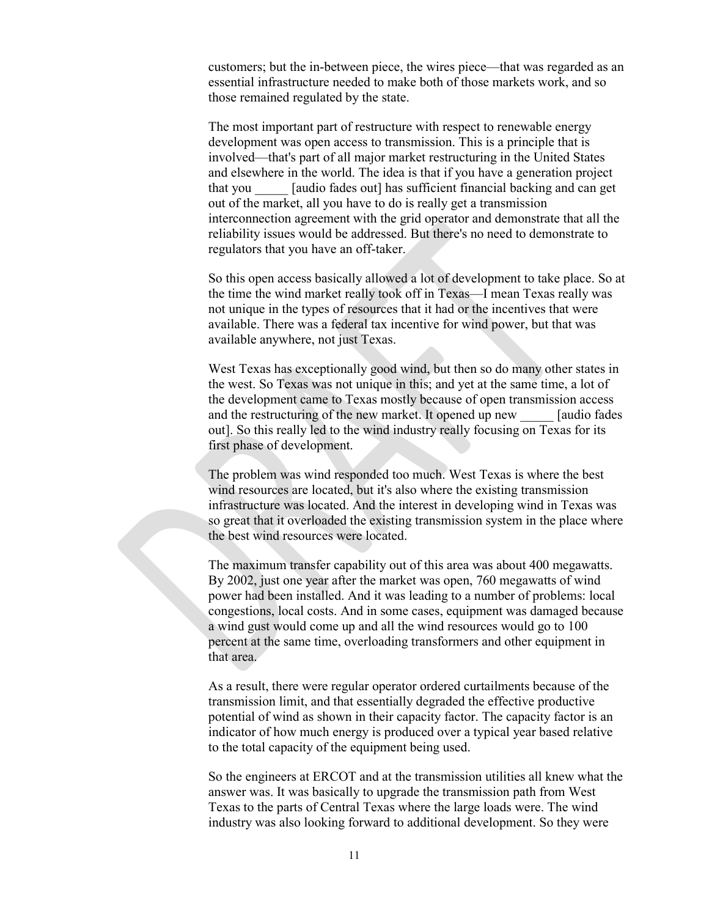customers; but the in-between piece, the wires piece—that was regarded as an essential infrastructure needed to make both of those markets work, and so those remained regulated by the state.

The most important part of restructure with respect to renewable energy development was open access to transmission. This is a principle that is involved—that's part of all major market restructuring in the United States and elsewhere in the world. The idea is that if you have a generation project that you \_\_\_\_\_ [audio fades out] has sufficient financial backing and can get out of the market, all you have to do is really get a transmission interconnection agreement with the grid operator and demonstrate that all the reliability issues would be addressed. But there's no need to demonstrate to regulators that you have an off-taker.

So this open access basically allowed a lot of development to take place. So at the time the wind market really took off in Texas—I mean Texas really was not unique in the types of resources that it had or the incentives that were available. There was a federal tax incentive for wind power, but that was available anywhere, not just Texas.

West Texas has exceptionally good wind, but then so do many other states in the west. So Texas was not unique in this; and yet at the same time, a lot of the development came to Texas mostly because of open transmission access and the restructuring of the new market. It opened up new [audio fades] out]. So this really led to the wind industry really focusing on Texas for its first phase of development.

The problem was wind responded too much. West Texas is where the best wind resources are located, but it's also where the existing transmission infrastructure was located. And the interest in developing wind in Texas was so great that it overloaded the existing transmission system in the place where the best wind resources were located.

The maximum transfer capability out of this area was about 400 megawatts. By 2002, just one year after the market was open, 760 megawatts of wind power had been installed. And it was leading to a number of problems: local congestions, local costs. And in some cases, equipment was damaged because a wind gust would come up and all the wind resources would go to 100 percent at the same time, overloading transformers and other equipment in that area.

As a result, there were regular operator ordered curtailments because of the transmission limit, and that essentially degraded the effective productive potential of wind as shown in their capacity factor. The capacity factor is an indicator of how much energy is produced over a typical year based relative to the total capacity of the equipment being used.

So the engineers at ERCOT and at the transmission utilities all knew what the answer was. It was basically to upgrade the transmission path from West Texas to the parts of Central Texas where the large loads were. The wind industry was also looking forward to additional development. So they were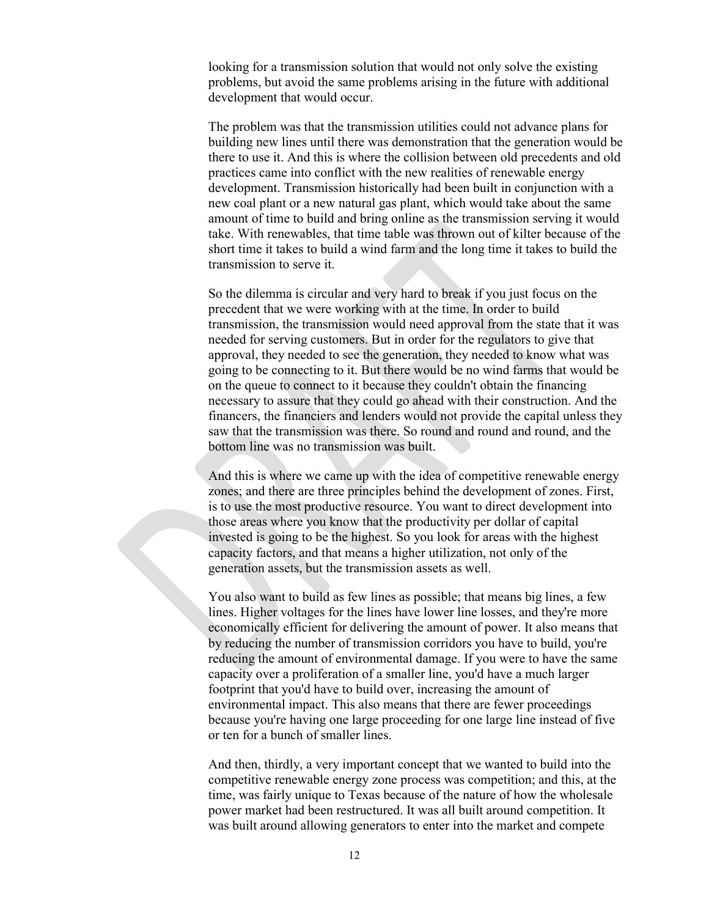looking for a transmission solution that would not only solve the existing problems, but avoid the same problems arising in the future with additional development that would occur.

The problem was that the transmission utilities could not advance plans for building new lines until there was demonstration that the generation would be there to use it. And this is where the collision between old precedents and old practices came into conflict with the new realities of renewable energy development. Transmission historically had been built in conjunction with a new coal plant or a new natural gas plant, which would take about the same amount of time to build and bring online as the transmission serving it would take. With renewables, that time table was thrown out of kilter because of the short time it takes to build a wind farm and the long time it takes to build the transmission to serve it.

So the dilemma is circular and very hard to break if you just focus on the precedent that we were working with at the time. In order to build transmission, the transmission would need approval from the state that it was needed for serving customers. But in order for the regulators to give that approval, they needed to see the generation, they needed to know what was going to be connecting to it. But there would be no wind farms that would be on the queue to connect to it because they couldn't obtain the financing necessary to assure that they could go ahead with their construction. And the financers, the financiers and lenders would not provide the capital unless they saw that the transmission was there. So round and round and round, and the bottom line was no transmission was built.

And this is where we came up with the idea of competitive renewable energy zones; and there are three principles behind the development of zones. First, is to use the most productive resource. You want to direct development into those areas where you know that the productivity per dollar of capital invested is going to be the highest. So you look for areas with the highest capacity factors, and that means a higher utilization, not only of the generation assets, but the transmission assets as well.

You also want to build as few lines as possible; that means big lines, a few lines. Higher voltages for the lines have lower line losses, and they're more economically efficient for delivering the amount of power. It also means that by reducing the number of transmission corridors you have to build, you're reducing the amount of environmental damage. If you were to have the same capacity over a proliferation of a smaller line, you'd have a much larger footprint that you'd have to build over, increasing the amount of environmental impact. This also means that there are fewer proceedings because you're having one large proceeding for one large line instead of five or ten for a bunch of smaller lines.

And then, thirdly, a very important concept that we wanted to build into the competitive renewable energy zone process was competition; and this, at the time, was fairly unique to Texas because of the nature of how the wholesale power market had been restructured. It was all built around competition. It was built around allowing generators to enter into the market and compete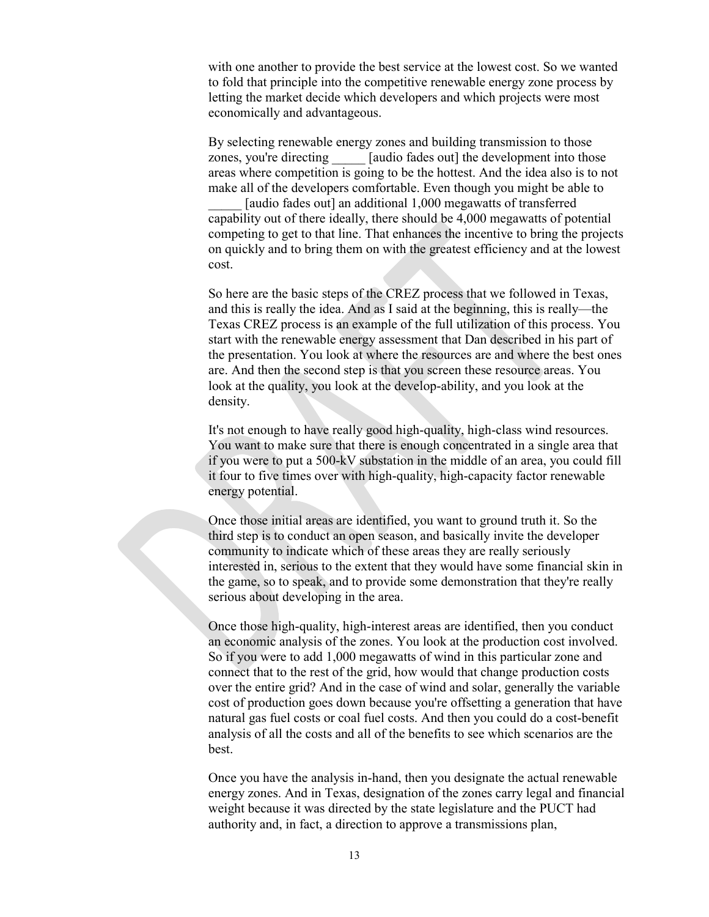with one another to provide the best service at the lowest cost. So we wanted to fold that principle into the competitive renewable energy zone process by letting the market decide which developers and which projects were most economically and advantageous.

By selecting renewable energy zones and building transmission to those zones, you're directing [audio fades out] the development into those areas where competition is going to be the hottest. And the idea also is to not make all of the developers comfortable. Even though you might be able to [audio fades out] an additional 1,000 megawatts of transferred capability out of there ideally, there should be 4,000 megawatts of potential competing to get to that line. That enhances the incentive to bring the projects on quickly and to bring them on with the greatest efficiency and at the lowest cost.

So here are the basic steps of the CREZ process that we followed in Texas, and this is really the idea. And as I said at the beginning, this is really—the Texas CREZ process is an example of the full utilization of this process. You start with the renewable energy assessment that Dan described in his part of the presentation. You look at where the resources are and where the best ones are. And then the second step is that you screen these resource areas. You look at the quality, you look at the develop-ability, and you look at the density.

It's not enough to have really good high-quality, high-class wind resources. You want to make sure that there is enough concentrated in a single area that if you were to put a 500-kV substation in the middle of an area, you could fill it four to five times over with high-quality, high-capacity factor renewable energy potential.

Once those initial areas are identified, you want to ground truth it. So the third step is to conduct an open season, and basically invite the developer community to indicate which of these areas they are really seriously interested in, serious to the extent that they would have some financial skin in the game, so to speak, and to provide some demonstration that they're really serious about developing in the area.

Once those high-quality, high-interest areas are identified, then you conduct an economic analysis of the zones. You look at the production cost involved. So if you were to add 1,000 megawatts of wind in this particular zone and connect that to the rest of the grid, how would that change production costs over the entire grid? And in the case of wind and solar, generally the variable cost of production goes down because you're offsetting a generation that have natural gas fuel costs or coal fuel costs. And then you could do a cost-benefit analysis of all the costs and all of the benefits to see which scenarios are the best.

Once you have the analysis in-hand, then you designate the actual renewable energy zones. And in Texas, designation of the zones carry legal and financial weight because it was directed by the state legislature and the PUCT had authority and, in fact, a direction to approve a transmissions plan,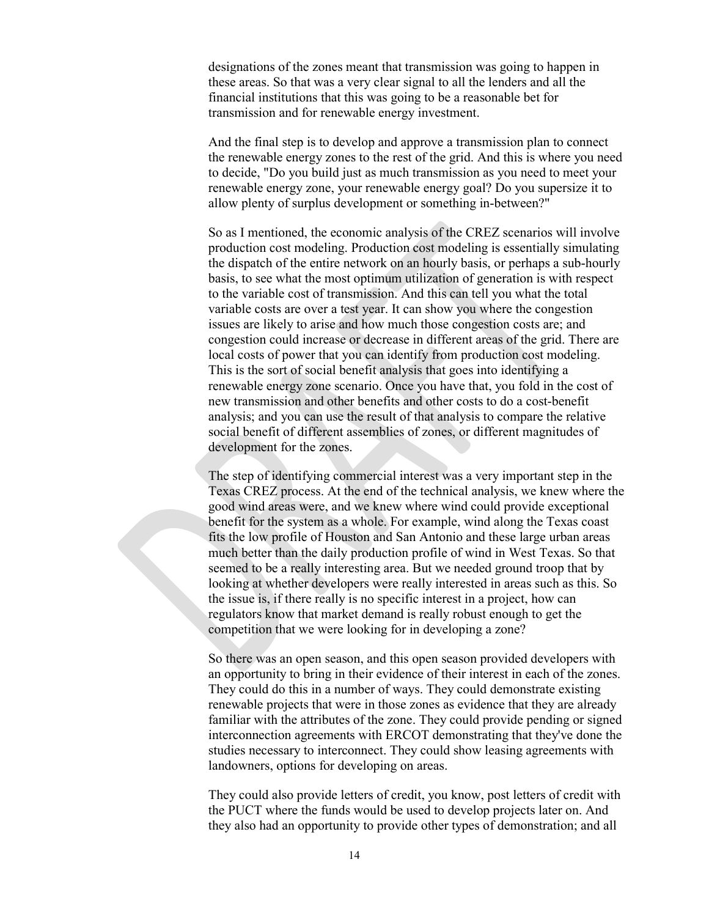designations of the zones meant that transmission was going to happen in these areas. So that was a very clear signal to all the lenders and all the financial institutions that this was going to be a reasonable bet for transmission and for renewable energy investment.

And the final step is to develop and approve a transmission plan to connect the renewable energy zones to the rest of the grid. And this is where you need to decide, "Do you build just as much transmission as you need to meet your renewable energy zone, your renewable energy goal? Do you supersize it to allow plenty of surplus development or something in-between?"

So as I mentioned, the economic analysis of the CREZ scenarios will involve production cost modeling. Production cost modeling is essentially simulating the dispatch of the entire network on an hourly basis, or perhaps a sub-hourly basis, to see what the most optimum utilization of generation is with respect to the variable cost of transmission. And this can tell you what the total variable costs are over a test year. It can show you where the congestion issues are likely to arise and how much those congestion costs are; and congestion could increase or decrease in different areas of the grid. There are local costs of power that you can identify from production cost modeling. This is the sort of social benefit analysis that goes into identifying a renewable energy zone scenario. Once you have that, you fold in the cost of new transmission and other benefits and other costs to do a cost-benefit analysis; and you can use the result of that analysis to compare the relative social benefit of different assemblies of zones, or different magnitudes of development for the zones.

The step of identifying commercial interest was a very important step in the Texas CREZ process. At the end of the technical analysis, we knew where the good wind areas were, and we knew where wind could provide exceptional benefit for the system as a whole. For example, wind along the Texas coast fits the low profile of Houston and San Antonio and these large urban areas much better than the daily production profile of wind in West Texas. So that seemed to be a really interesting area. But we needed ground troop that by looking at whether developers were really interested in areas such as this. So the issue is, if there really is no specific interest in a project, how can regulators know that market demand is really robust enough to get the competition that we were looking for in developing a zone?

So there was an open season, and this open season provided developers with an opportunity to bring in their evidence of their interest in each of the zones. They could do this in a number of ways. They could demonstrate existing renewable projects that were in those zones as evidence that they are already familiar with the attributes of the zone. They could provide pending or signed interconnection agreements with ERCOT demonstrating that they've done the studies necessary to interconnect. They could show leasing agreements with landowners, options for developing on areas.

They could also provide letters of credit, you know, post letters of credit with the PUCT where the funds would be used to develop projects later on. And they also had an opportunity to provide other types of demonstration; and all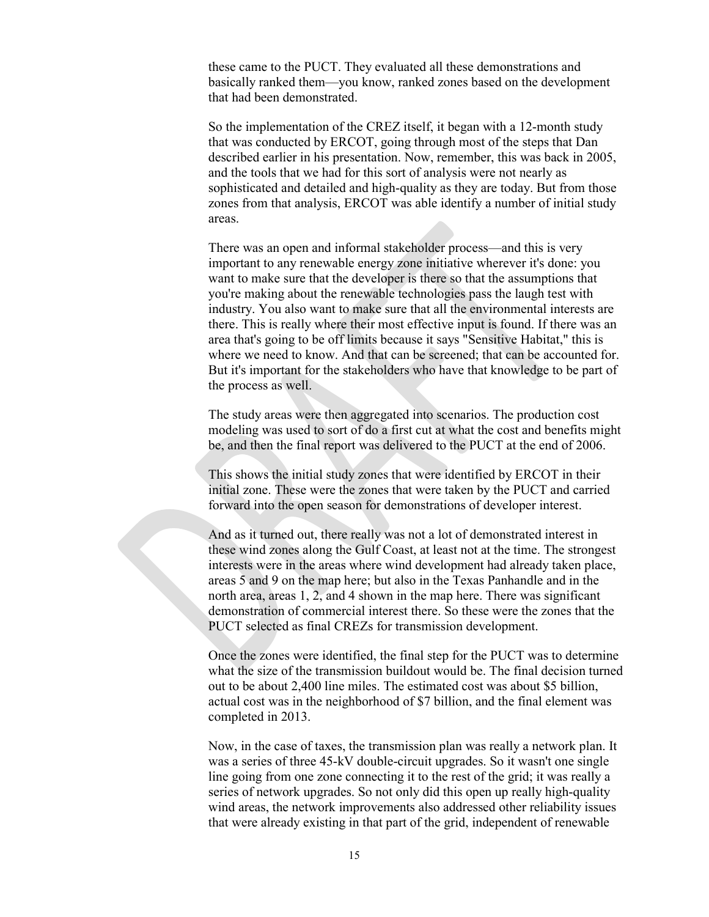these came to the PUCT. They evaluated all these demonstrations and basically ranked them—you know, ranked zones based on the development that had been demonstrated.

So the implementation of the CREZ itself, it began with a 12-month study that was conducted by ERCOT, going through most of the steps that Dan described earlier in his presentation. Now, remember, this was back in 2005, and the tools that we had for this sort of analysis were not nearly as sophisticated and detailed and high-quality as they are today. But from those zones from that analysis, ERCOT was able identify a number of initial study areas.

There was an open and informal stakeholder process—and this is very important to any renewable energy zone initiative wherever it's done: you want to make sure that the developer is there so that the assumptions that you're making about the renewable technologies pass the laugh test with industry. You also want to make sure that all the environmental interests are there. This is really where their most effective input is found. If there was an area that's going to be off limits because it says "Sensitive Habitat," this is where we need to know. And that can be screened; that can be accounted for. But it's important for the stakeholders who have that knowledge to be part of the process as well.

The study areas were then aggregated into scenarios. The production cost modeling was used to sort of do a first cut at what the cost and benefits might be, and then the final report was delivered to the PUCT at the end of 2006.

This shows the initial study zones that were identified by ERCOT in their initial zone. These were the zones that were taken by the PUCT and carried forward into the open season for demonstrations of developer interest.

And as it turned out, there really was not a lot of demonstrated interest in these wind zones along the Gulf Coast, at least not at the time. The strongest interests were in the areas where wind development had already taken place, areas 5 and 9 on the map here; but also in the Texas Panhandle and in the north area, areas 1, 2, and 4 shown in the map here. There was significant demonstration of commercial interest there. So these were the zones that the PUCT selected as final CREZs for transmission development.

Once the zones were identified, the final step for the PUCT was to determine what the size of the transmission buildout would be. The final decision turned out to be about 2,400 line miles. The estimated cost was about \$5 billion, actual cost was in the neighborhood of \$7 billion, and the final element was completed in 2013.

Now, in the case of taxes, the transmission plan was really a network plan. It was a series of three 45-kV double-circuit upgrades. So it wasn't one single line going from one zone connecting it to the rest of the grid; it was really a series of network upgrades. So not only did this open up really high-quality wind areas, the network improvements also addressed other reliability issues that were already existing in that part of the grid, independent of renewable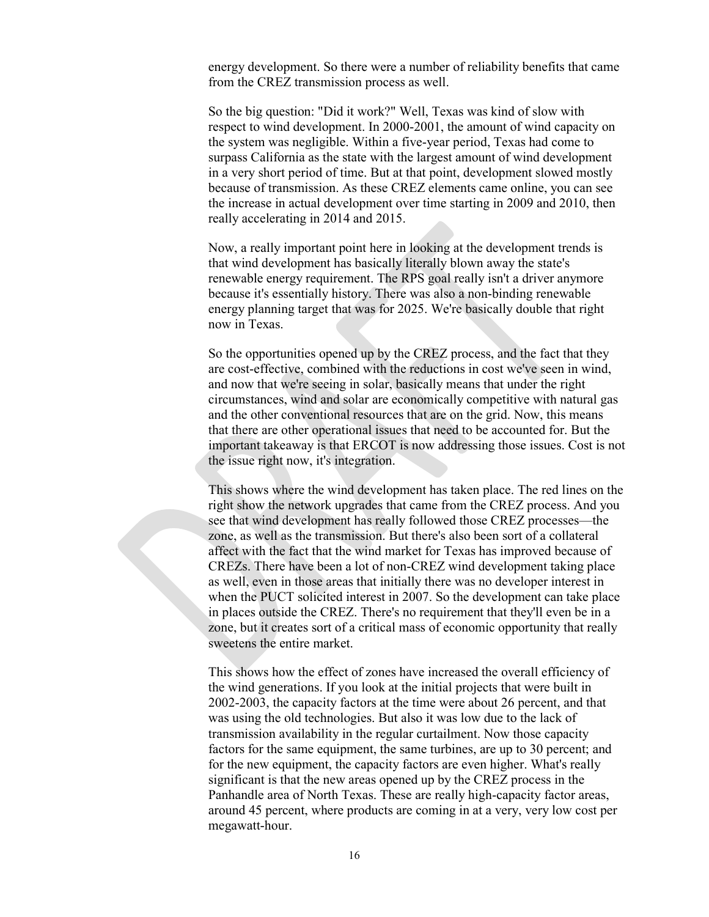energy development. So there were a number of reliability benefits that came from the CREZ transmission process as well.

So the big question: "Did it work?" Well, Texas was kind of slow with respect to wind development. In 2000-2001, the amount of wind capacity on the system was negligible. Within a five-year period, Texas had come to surpass California as the state with the largest amount of wind development in a very short period of time. But at that point, development slowed mostly because of transmission. As these CREZ elements came online, you can see the increase in actual development over time starting in 2009 and 2010, then really accelerating in 2014 and 2015.

Now, a really important point here in looking at the development trends is that wind development has basically literally blown away the state's renewable energy requirement. The RPS goal really isn't a driver anymore because it's essentially history. There was also a non-binding renewable energy planning target that was for 2025. We're basically double that right now in Texas.

So the opportunities opened up by the CREZ process, and the fact that they are cost-effective, combined with the reductions in cost we've seen in wind, and now that we're seeing in solar, basically means that under the right circumstances, wind and solar are economically competitive with natural gas and the other conventional resources that are on the grid. Now, this means that there are other operational issues that need to be accounted for. But the important takeaway is that ERCOT is now addressing those issues. Cost is not the issue right now, it's integration.

This shows where the wind development has taken place. The red lines on the right show the network upgrades that came from the CREZ process. And you see that wind development has really followed those CREZ processes—the zone, as well as the transmission. But there's also been sort of a collateral affect with the fact that the wind market for Texas has improved because of CREZs. There have been a lot of non-CREZ wind development taking place as well, even in those areas that initially there was no developer interest in when the PUCT solicited interest in 2007. So the development can take place in places outside the CREZ. There's no requirement that they'll even be in a zone, but it creates sort of a critical mass of economic opportunity that really sweetens the entire market.

This shows how the effect of zones have increased the overall efficiency of the wind generations. If you look at the initial projects that were built in 2002-2003, the capacity factors at the time were about 26 percent, and that was using the old technologies. But also it was low due to the lack of transmission availability in the regular curtailment. Now those capacity factors for the same equipment, the same turbines, are up to 30 percent; and for the new equipment, the capacity factors are even higher. What's really significant is that the new areas opened up by the CREZ process in the Panhandle area of North Texas. These are really high-capacity factor areas, around 45 percent, where products are coming in at a very, very low cost per megawatt-hour.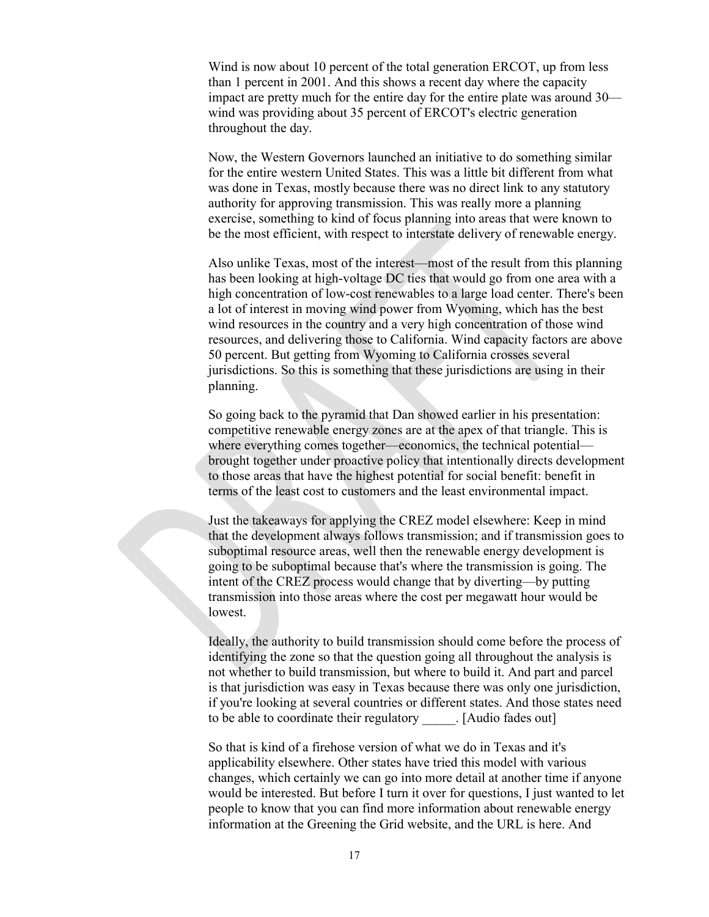Wind is now about 10 percent of the total generation ERCOT, up from less than 1 percent in 2001. And this shows a recent day where the capacity impact are pretty much for the entire day for the entire plate was around 30 wind was providing about 35 percent of ERCOT's electric generation throughout the day.

Now, the Western Governors launched an initiative to do something similar for the entire western United States. This was a little bit different from what was done in Texas, mostly because there was no direct link to any statutory authority for approving transmission. This was really more a planning exercise, something to kind of focus planning into areas that were known to be the most efficient, with respect to interstate delivery of renewable energy.

Also unlike Texas, most of the interest—most of the result from this planning has been looking at high-voltage DC ties that would go from one area with a high concentration of low-cost renewables to a large load center. There's been a lot of interest in moving wind power from Wyoming, which has the best wind resources in the country and a very high concentration of those wind resources, and delivering those to California. Wind capacity factors are above 50 percent. But getting from Wyoming to California crosses several jurisdictions. So this is something that these jurisdictions are using in their planning.

So going back to the pyramid that Dan showed earlier in his presentation: competitive renewable energy zones are at the apex of that triangle. This is where everything comes together—economics, the technical potential brought together under proactive policy that intentionally directs development to those areas that have the highest potential for social benefit: benefit in terms of the least cost to customers and the least environmental impact.

Just the takeaways for applying the CREZ model elsewhere: Keep in mind that the development always follows transmission; and if transmission goes to suboptimal resource areas, well then the renewable energy development is going to be suboptimal because that's where the transmission is going. The intent of the CREZ process would change that by diverting—by putting transmission into those areas where the cost per megawatt hour would be lowest.

Ideally, the authority to build transmission should come before the process of identifying the zone so that the question going all throughout the analysis is not whether to build transmission, but where to build it. And part and parcel is that jurisdiction was easy in Texas because there was only one jurisdiction, if you're looking at several countries or different states. And those states need to be able to coordinate their regulatory [Audio fades out]

So that is kind of a firehose version of what we do in Texas and it's applicability elsewhere. Other states have tried this model with various changes, which certainly we can go into more detail at another time if anyone would be interested. But before I turn it over for questions, I just wanted to let people to know that you can find more information about renewable energy information at the Greening the Grid website, and the URL is here. And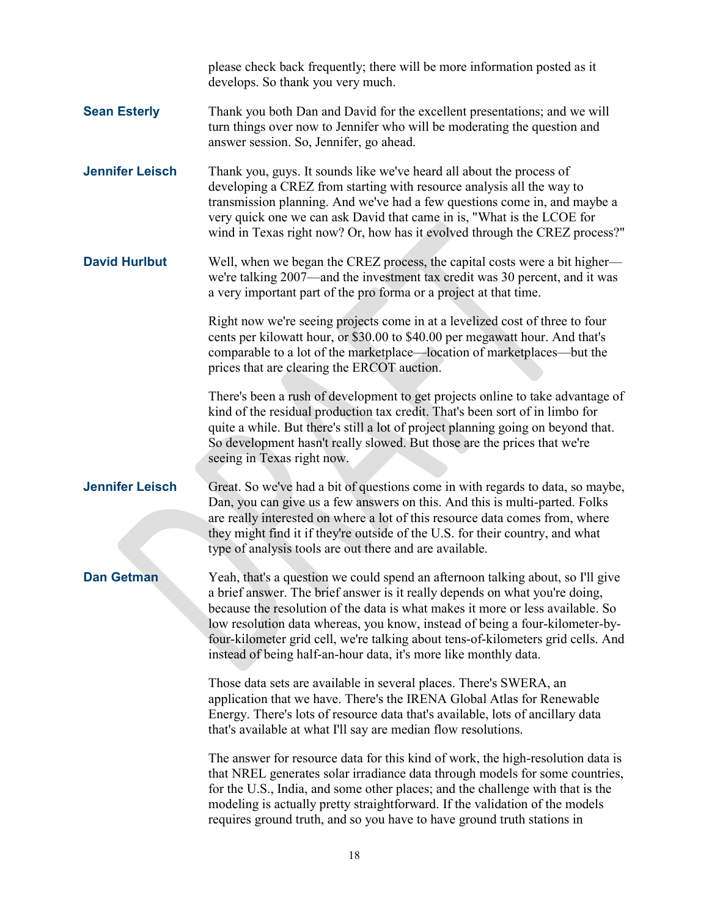please check back frequently; there will be more information posted as it develops. So thank you very much. **Sean Esterly** Thank you both Dan and David for the excellent presentations; and we will turn things over now to Jennifer who will be moderating the question and answer session. So, Jennifer, go ahead. **Jennifer Leisch** Thank you, guys. It sounds like we've heard all about the process of developing a CREZ from starting with resource analysis all the way to transmission planning. And we've had a few questions come in, and maybe a very quick one we can ask David that came in is, "What is the LCOE for wind in Texas right now? Or, how has it evolved through the CREZ process?" **David Hurlbut** Well, when we began the CREZ process, the capital costs were a bit higher we're talking 2007—and the investment tax credit was 30 percent, and it was a very important part of the pro forma or a project at that time. Right now we're seeing projects come in at a levelized cost of three to four cents per kilowatt hour, or \$30.00 to \$40.00 per megawatt hour. And that's comparable to a lot of the marketplace—location of marketplaces—but the prices that are clearing the ERCOT auction. There's been a rush of development to get projects online to take advantage of kind of the residual production tax credit. That's been sort of in limbo for quite a while. But there's still a lot of project planning going on beyond that. So development hasn't really slowed. But those are the prices that we're seeing in Texas right now. **Jennifer Leisch** Great. So we've had a bit of questions come in with regards to data, so maybe, Dan, you can give us a few answers on this. And this is multi-parted. Folks are really interested on where a lot of this resource data comes from, where they might find it if they're outside of the U.S. for their country, and what type of analysis tools are out there and are available. **Dan Getman** Yeah, that's a question we could spend an afternoon talking about, so I'll give a brief answer. The brief answer is it really depends on what you're doing, because the resolution of the data is what makes it more or less available. So low resolution data whereas, you know, instead of being a four-kilometer-byfour-kilometer grid cell, we're talking about tens-of-kilometers grid cells. And instead of being half-an-hour data, it's more like monthly data. Those data sets are available in several places. There's SWERA, an application that we have. There's the IRENA Global Atlas for Renewable Energy. There's lots of resource data that's available, lots of ancillary data that's available at what I'll say are median flow resolutions. The answer for resource data for this kind of work, the high-resolution data is that NREL generates solar irradiance data through models for some countries, for the U.S., India, and some other places; and the challenge with that is the modeling is actually pretty straightforward. If the validation of the models requires ground truth, and so you have to have ground truth stations in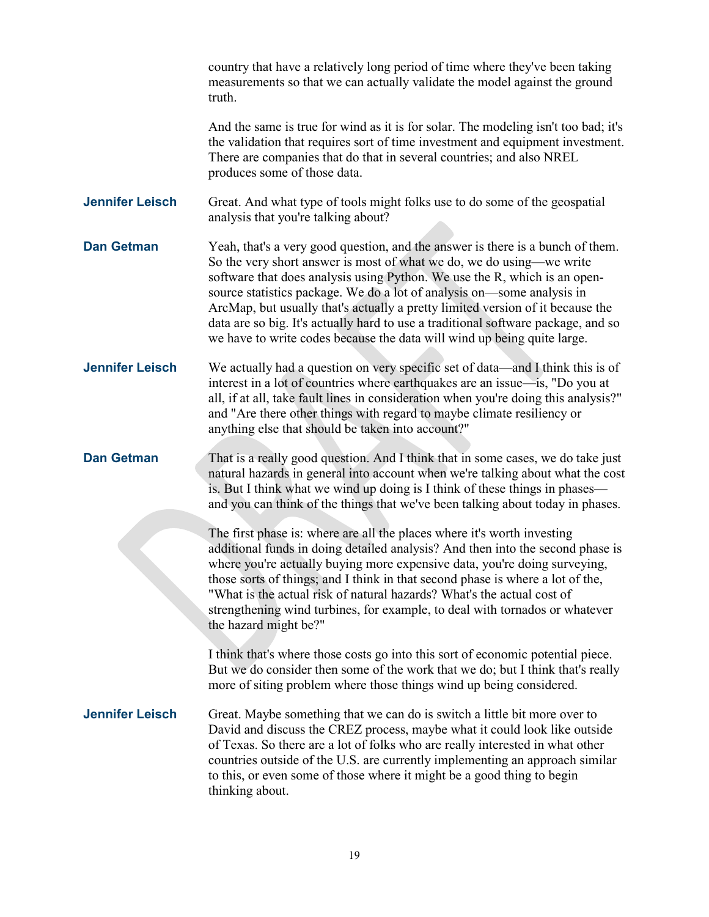country that have a relatively long period of time where they've been taking measurements so that we can actually validate the model against the ground truth. And the same is true for wind as it is for solar. The modeling isn't too bad; it's the validation that requires sort of time investment and equipment investment. There are companies that do that in several countries; and also NREL produces some of those data. **Jennifer Leisch** Great. And what type of tools might folks use to do some of the geospatial analysis that you're talking about? **Dan Getman** Yeah, that's a very good question, and the answer is there is a bunch of them. So the very short answer is most of what we do, we do using—we write software that does analysis using Python. We use the R, which is an opensource statistics package. We do a lot of analysis on—some analysis in ArcMap, but usually that's actually a pretty limited version of it because the data are so big. It's actually hard to use a traditional software package, and so we have to write codes because the data will wind up being quite large. **Jennifer Leisch** We actually had a question on very specific set of data—and I think this is of interest in a lot of countries where earthquakes are an issue—is, "Do you at all, if at all, take fault lines in consideration when you're doing this analysis?" and "Are there other things with regard to maybe climate resiliency or anything else that should be taken into account?" **Dan Getman** That is a really good question. And I think that in some cases, we do take just natural hazards in general into account when we're talking about what the cost is. But I think what we wind up doing is I think of these things in phases and you can think of the things that we've been talking about today in phases. The first phase is: where are all the places where it's worth investing additional funds in doing detailed analysis? And then into the second phase is where you're actually buying more expensive data, you're doing surveying, those sorts of things; and I think in that second phase is where a lot of the, "What is the actual risk of natural hazards? What's the actual cost of strengthening wind turbines, for example, to deal with tornados or whatever the hazard might be?" I think that's where those costs go into this sort of economic potential piece. But we do consider then some of the work that we do; but I think that's really more of siting problem where those things wind up being considered. **Jennifer Leisch** Great. Maybe something that we can do is switch a little bit more over to David and discuss the CREZ process, maybe what it could look like outside of Texas. So there are a lot of folks who are really interested in what other countries outside of the U.S. are currently implementing an approach similar to this, or even some of those where it might be a good thing to begin thinking about.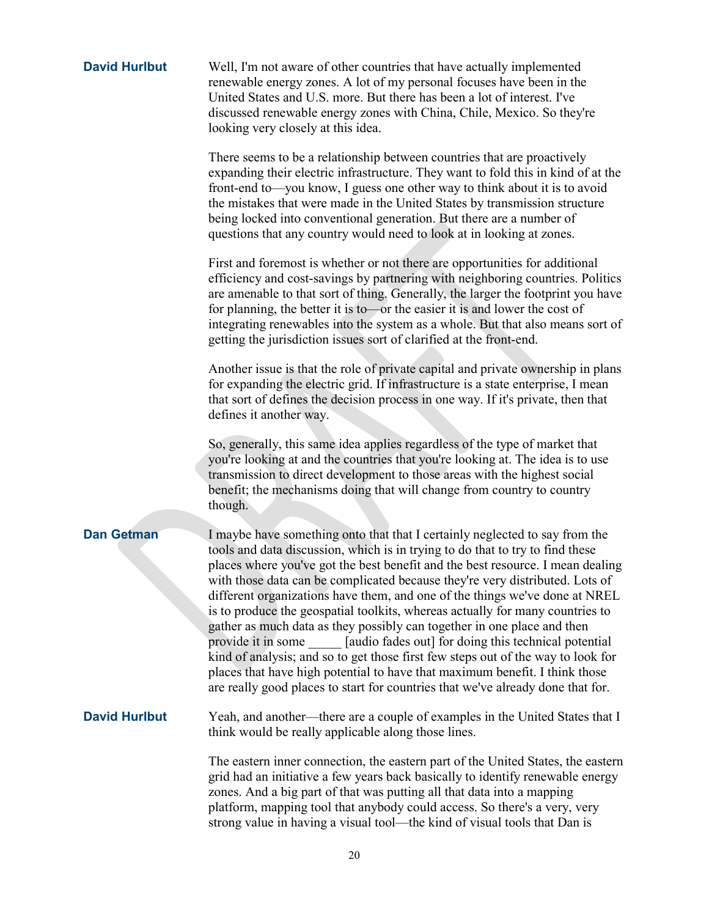| <b>David Hurlbut</b> | Well, I'm not aware of other countries that have actually implemented<br>renewable energy zones. A lot of my personal focuses have been in the<br>United States and U.S. more. But there has been a lot of interest. I've<br>discussed renewable energy zones with China, Chile, Mexico. So they're<br>looking very closely at this idea.                                                                                                                                                                                                                                                                                                                                                                                                                                                                                                                                                                  |
|----------------------|------------------------------------------------------------------------------------------------------------------------------------------------------------------------------------------------------------------------------------------------------------------------------------------------------------------------------------------------------------------------------------------------------------------------------------------------------------------------------------------------------------------------------------------------------------------------------------------------------------------------------------------------------------------------------------------------------------------------------------------------------------------------------------------------------------------------------------------------------------------------------------------------------------|
|                      | There seems to be a relationship between countries that are proactively<br>expanding their electric infrastructure. They want to fold this in kind of at the<br>front-end to—you know, I guess one other way to think about it is to avoid<br>the mistakes that were made in the United States by transmission structure<br>being locked into conventional generation. But there are a number of<br>questions that any country would need to look at in looking at zones.                                                                                                                                                                                                                                                                                                                                                                                                                                  |
|                      | First and foremost is whether or not there are opportunities for additional<br>efficiency and cost-savings by partnering with neighboring countries. Politics<br>are amenable to that sort of thing. Generally, the larger the footprint you have<br>for planning, the better it is to or the easier it is and lower the cost of<br>integrating renewables into the system as a whole. But that also means sort of<br>getting the jurisdiction issues sort of clarified at the front-end.                                                                                                                                                                                                                                                                                                                                                                                                                  |
|                      | Another issue is that the role of private capital and private ownership in plans<br>for expanding the electric grid. If infrastructure is a state enterprise, I mean<br>that sort of defines the decision process in one way. If it's private, then that<br>defines it another way.                                                                                                                                                                                                                                                                                                                                                                                                                                                                                                                                                                                                                        |
|                      | So, generally, this same idea applies regardless of the type of market that<br>you're looking at and the countries that you're looking at. The idea is to use<br>transmission to direct development to those areas with the highest social<br>benefit; the mechanisms doing that will change from country to country<br>though.                                                                                                                                                                                                                                                                                                                                                                                                                                                                                                                                                                            |
| <b>Dan Getman</b>    | I maybe have something onto that that I certainly neglected to say from the<br>tools and data discussion, which is in trying to do that to try to find these<br>places where you've got the best benefit and the best resource. I mean dealing<br>with those data can be complicated because they're very distributed. Lots of<br>different organizations have them, and one of the things we've done at NREL<br>is to produce the geospatial toolkits, whereas actually for many countries to<br>gather as much data as they possibly can together in one place and then<br>provide it in some [audio fades out] for doing this technical potential<br>kind of analysis; and so to get those first few steps out of the way to look for<br>places that have high potential to have that maximum benefit. I think those<br>are really good places to start for countries that we've already done that for. |
| <b>David Hurlbut</b> | Yeah, and another—there are a couple of examples in the United States that I<br>think would be really applicable along those lines.                                                                                                                                                                                                                                                                                                                                                                                                                                                                                                                                                                                                                                                                                                                                                                        |
|                      | The eastern inner connection, the eastern part of the United States, the eastern<br>grid had an initiative a few years back basically to identify renewable energy<br>zones. And a big part of that was putting all that data into a mapping<br>platform, mapping tool that anybody could access. So there's a very, very<br>strong value in having a visual tool—the kind of visual tools that Dan is                                                                                                                                                                                                                                                                                                                                                                                                                                                                                                     |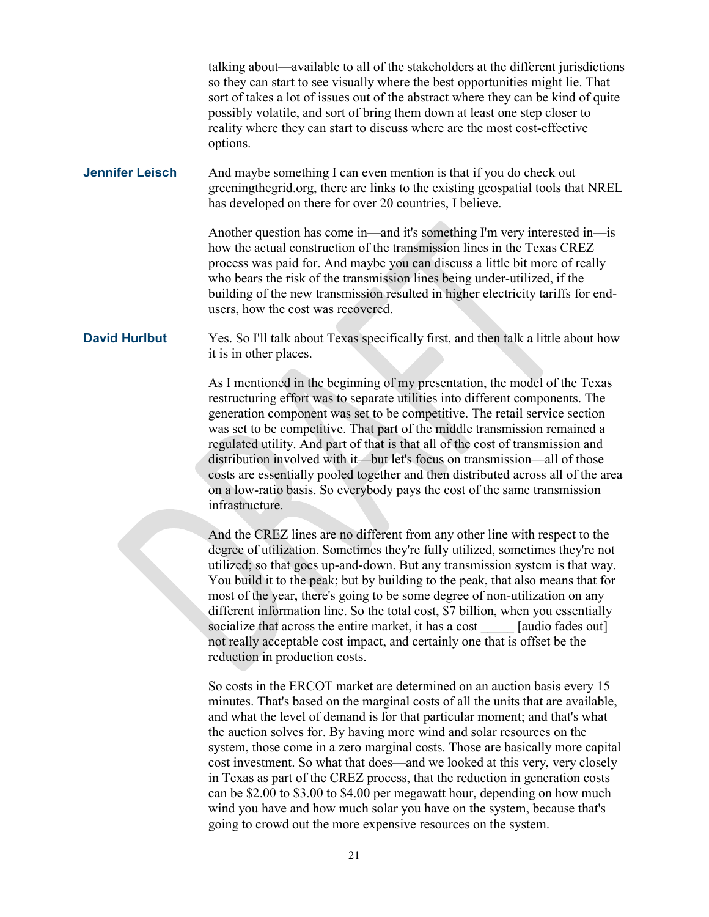talking about—available to all of the stakeholders at the different jurisdictions so they can start to see visually where the best opportunities might lie. That sort of takes a lot of issues out of the abstract where they can be kind of quite possibly volatile, and sort of bring them down at least one step closer to reality where they can start to discuss where are the most cost-effective options.

## **Jennifer Leisch** And maybe something I can even mention is that if you do check out greeningthegrid.org, there are links to the existing geospatial tools that NREL has developed on there for over 20 countries, I believe.

Another question has come in—and it's something I'm very interested in—is how the actual construction of the transmission lines in the Texas CREZ process was paid for. And maybe you can discuss a little bit more of really who bears the risk of the transmission lines being under-utilized, if the building of the new transmission resulted in higher electricity tariffs for endusers, how the cost was recovered.

## **David Hurlbut** Yes. So I'll talk about Texas specifically first, and then talk a little about how it is in other places.

As I mentioned in the beginning of my presentation, the model of the Texas restructuring effort was to separate utilities into different components. The generation component was set to be competitive. The retail service section was set to be competitive. That part of the middle transmission remained a regulated utility. And part of that is that all of the cost of transmission and distribution involved with it—but let's focus on transmission—all of those costs are essentially pooled together and then distributed across all of the area on a low-ratio basis. So everybody pays the cost of the same transmission infrastructure.

And the CREZ lines are no different from any other line with respect to the degree of utilization. Sometimes they're fully utilized, sometimes they're not utilized; so that goes up-and-down. But any transmission system is that way. You build it to the peak; but by building to the peak, that also means that for most of the year, there's going to be some degree of non-utilization on any different information line. So the total cost, \$7 billion, when you essentially socialize that across the entire market, it has a cost [audio fades out] not really acceptable cost impact, and certainly one that is offset be the reduction in production costs.

So costs in the ERCOT market are determined on an auction basis every 15 minutes. That's based on the marginal costs of all the units that are available, and what the level of demand is for that particular moment; and that's what the auction solves for. By having more wind and solar resources on the system, those come in a zero marginal costs. Those are basically more capital cost investment. So what that does—and we looked at this very, very closely in Texas as part of the CREZ process, that the reduction in generation costs can be \$2.00 to \$3.00 to \$4.00 per megawatt hour, depending on how much wind you have and how much solar you have on the system, because that's going to crowd out the more expensive resources on the system.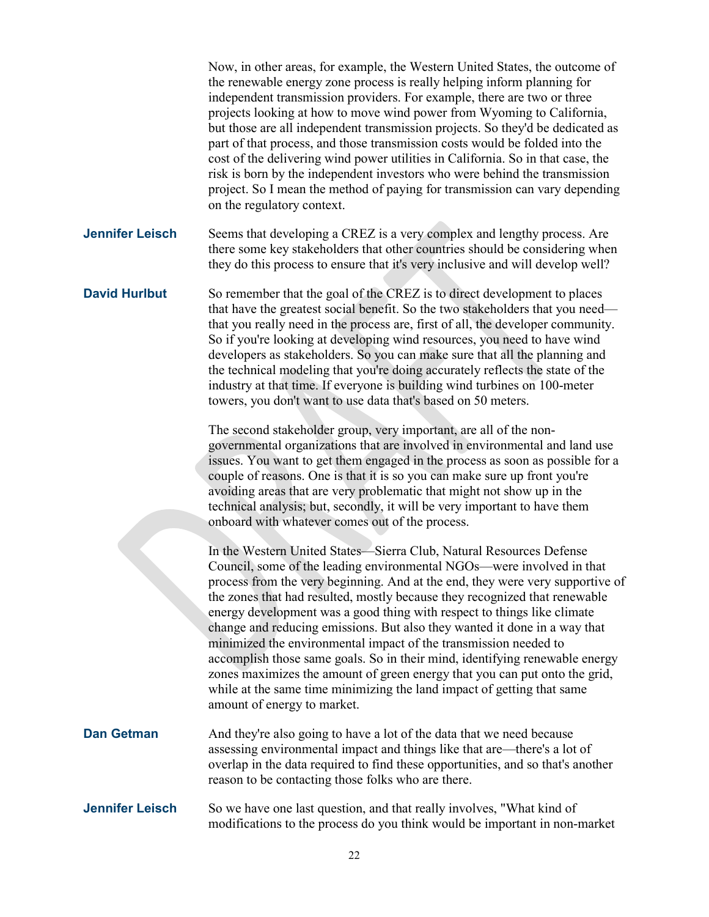Now, in other areas, for example, the Western United States, the outcome of the renewable energy zone process is really helping inform planning for independent transmission providers. For example, there are two or three projects looking at how to move wind power from Wyoming to California, but those are all independent transmission projects. So they'd be dedicated as part of that process, and those transmission costs would be folded into the cost of the delivering wind power utilities in California. So in that case, the risk is born by the independent investors who were behind the transmission project. So I mean the method of paying for transmission can vary depending on the regulatory context. **Jennifer Leisch** Seems that developing a CREZ is a very complex and lengthy process. Are there some key stakeholders that other countries should be considering when they do this process to ensure that it's very inclusive and will develop well? **David Hurlbut** So remember that the goal of the CREZ is to direct development to places that have the greatest social benefit. So the two stakeholders that you need that you really need in the process are, first of all, the developer community. So if you're looking at developing wind resources, you need to have wind developers as stakeholders. So you can make sure that all the planning and the technical modeling that you're doing accurately reflects the state of the industry at that time. If everyone is building wind turbines on 100-meter towers, you don't want to use data that's based on 50 meters. The second stakeholder group, very important, are all of the nongovernmental organizations that are involved in environmental and land use issues. You want to get them engaged in the process as soon as possible for a couple of reasons. One is that it is so you can make sure up front you're avoiding areas that are very problematic that might not show up in the technical analysis; but, secondly, it will be very important to have them onboard with whatever comes out of the process. In the Western United States—Sierra Club, Natural Resources Defense Council, some of the leading environmental NGOs—were involved in that process from the very beginning. And at the end, they were very supportive of the zones that had resulted, mostly because they recognized that renewable energy development was a good thing with respect to things like climate change and reducing emissions. But also they wanted it done in a way that minimized the environmental impact of the transmission needed to accomplish those same goals. So in their mind, identifying renewable energy zones maximizes the amount of green energy that you can put onto the grid, while at the same time minimizing the land impact of getting that same amount of energy to market. **Dan Getman** And they're also going to have a lot of the data that we need because assessing environmental impact and things like that are—there's a lot of overlap in the data required to find these opportunities, and so that's another reason to be contacting those folks who are there. **Jennifer Leisch** So we have one last question, and that really involves, "What kind of modifications to the process do you think would be important in non-market